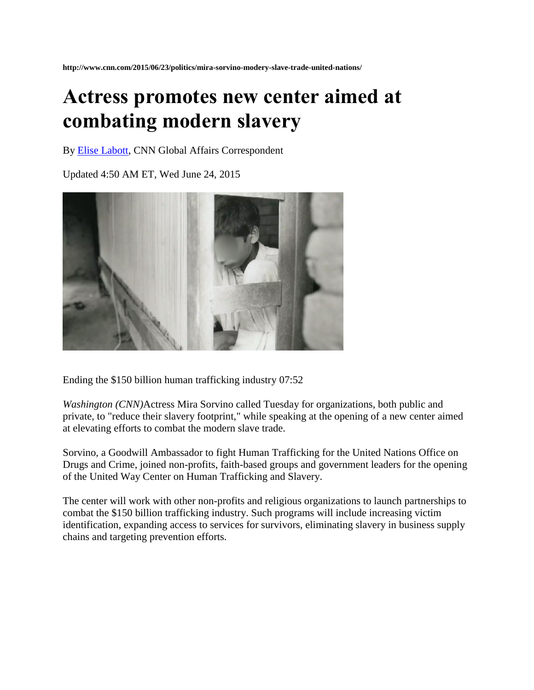## **Actress promotes new center aimed at combating modern slavery**

By [Elise Labott,](http://www.cnn.com/profiles/elise-labott-profile) CNN Global Affairs Correspondent

Updated 4:50 AM ET, Wed June 24, 2015



Ending the \$150 billion human trafficking industry 07:52

*Washington (CNN)*Actress Mira Sorvino called Tuesday for organizations, both public and private, to "reduce their slavery footprint," while speaking at the opening of a new center aimed at elevating efforts to combat the modern slave trade.

Sorvino, a Goodwill Ambassador to fight Human Trafficking for the United Nations Office on Drugs and Crime, joined non-profits, faith-based groups and government leaders for the opening of the United Way Center on Human Trafficking and Slavery.

The center will work with other non-profits and religious organizations to launch partnerships to combat the \$150 billion trafficking industry. Such programs will include increasing victim identification, expanding access to services for survivors, eliminating slavery in business supply chains and targeting prevention efforts.